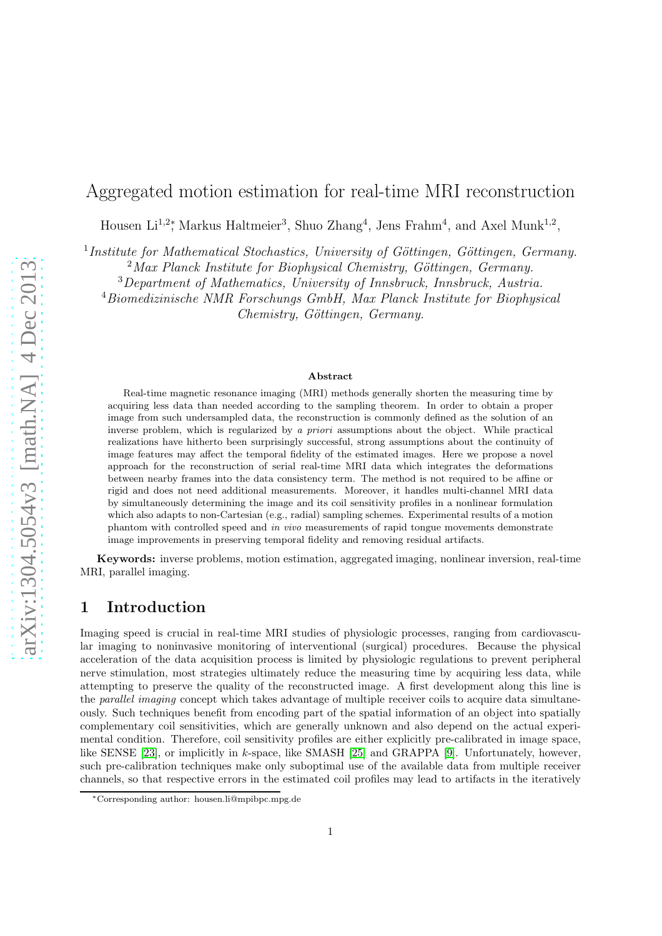# Aggregated motion estimation for real-time MRI reconstruction

Housen Li<sup>1,2</sup><sup>\*</sup>, Markus Haltmeier<sup>3</sup>, Shuo Zhang<sup>4</sup>, Jens Frahm<sup>4</sup>, and Axel Munk<sup>1,2</sup>,

<sup>1</sup>Institute for Mathematical Stochastics, University of Göttingen, Göttingen, Germany.

 $2$ Max Planck Institute for Biophysical Chemistry, Göttingen, Germany.

<sup>3</sup>Department of Mathematics, University of Innsbruck, Innsbruck, Austria.

<sup>4</sup>Biomedizinische NMR Forschungs GmbH, Max Planck Institute for Biophysical

Chemistry, Göttingen, Germany.

#### Abstract

Real-time magnetic resonance imaging (MRI) methods generally shorten the measuring time by acquiring less data than needed according to the sampling theorem. In order to obtain a proper image from such undersampled data, the reconstruction is commonly defined as the solution of an inverse problem, which is regularized by a priori assumptions about the object. While practical realizations have hitherto been surprisingly successful, strong assumptions about the continuity of image features may affect the temporal fidelity of the estimated images. Here we propose a novel approach for the reconstruction of serial real-time MRI data which integrates the deformations between nearby frames into the data consistency term. The method is not required to be affine or rigid and does not need additional measurements. Moreover, it handles multi-channel MRI data by simultaneously determining the image and its coil sensitivity profiles in a nonlinear formulation which also adapts to non-Cartesian (e.g., radial) sampling schemes. Experimental results of a motion phantom with controlled speed and in vivo measurements of rapid tongue movements demonstrate image improvements in preserving temporal fidelity and removing residual artifacts.

Keywords: inverse problems, motion estimation, aggregated imaging, nonlinear inversion, real-time MRI, parallel imaging.

## 1 Introduction

Imaging speed is crucial in real-time MRI studies of physiologic processes, ranging from cardiovascular imaging to noninvasive monitoring of interventional (surgical) procedures. Because the physical acceleration of the data acquisition process is limited by physiologic regulations to prevent peripheral nerve stimulation, most strategies ultimately reduce the measuring time by acquiring less data, while attempting to preserve the quality of the reconstructed image. A first development along this line is the *parallel imaging* concept which takes advantage of multiple receiver coils to acquire data simultaneously. Such techniques benefit from encoding part of the spatial information of an object into spatially complementary coil sensitivities, which are generally unknown and also depend on the actual experimental condition. Therefore, coil sensitivity profiles are either explicitly pre-calibrated in image space, like SENSE [\[23\]](#page-13-0), or implicitly in k-space, like SMASH [\[25\]](#page-13-1) and GRAPPA [\[9\]](#page-12-0). Unfortunately, however, such pre-calibration techniques make only suboptimal use of the available data from multiple receiver channels, so that respective errors in the estimated coil profiles may lead to artifacts in the iteratively

<sup>∗</sup>Corresponding author: housen.li@mpibpc.mpg.de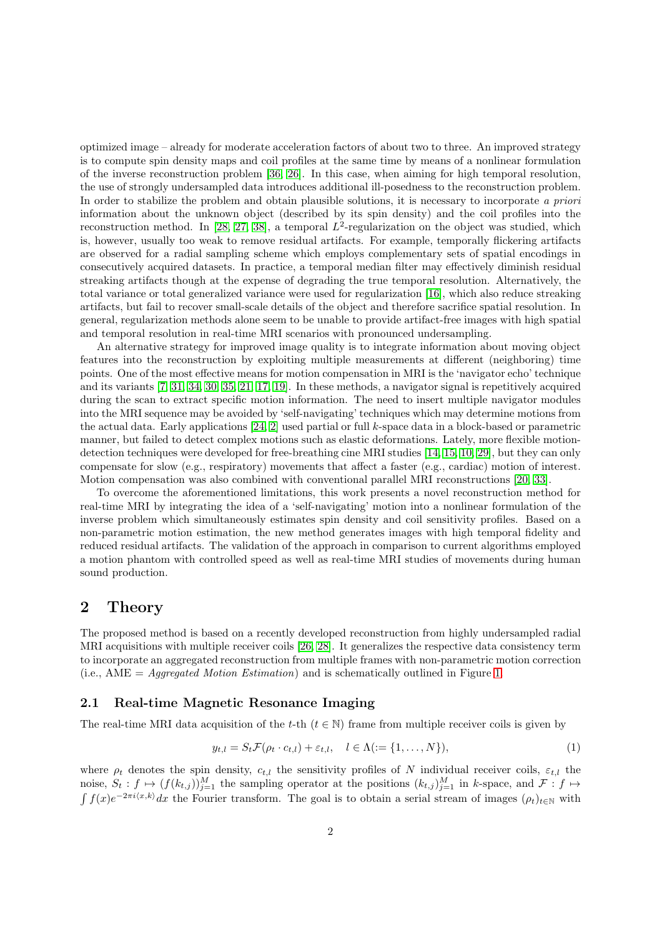optimized image – already for moderate acceleration factors of about two to three. An improved strategy is to compute spin density maps and coil profiles at the same time by means of a nonlinear formulation of the inverse reconstruction problem [\[36,](#page-13-2) [26\]](#page-13-3). In this case, when aiming for high temporal resolution, the use of strongly undersampled data introduces additional ill-posedness to the reconstruction problem. In order to stabilize the problem and obtain plausible solutions, it is necessary to incorporate *a priori* information about the unknown object (described by its spin density) and the coil profiles into the reconstruction method. In [\[28,](#page-13-4) [27,](#page-13-5) [38\]](#page-13-6), a temporal  $L^2$ -regularization on the object was studied, which is, however, usually too weak to remove residual artifacts. For example, temporally flickering artifacts are observed for a radial sampling scheme which employs complementary sets of spatial encodings in consecutively acquired datasets. In practice, a temporal median filter may effectively diminish residual streaking artifacts though at the expense of degrading the true temporal resolution. Alternatively, the total variance or total generalized variance were used for regularization [\[16\]](#page-12-1), which also reduce streaking artifacts, but fail to recover small-scale details of the object and therefore sacrifice spatial resolution. In general, regularization methods alone seem to be unable to provide artifact-free images with high spatial and temporal resolution in real-time MRI scenarios with pronounced undersampling.

An alternative strategy for improved image quality is to integrate information about moving object features into the reconstruction by exploiting multiple measurements at different (neighboring) time points. One of the most effective means for motion compensation in MRI is the 'navigator echo' technique and its variants [\[7,](#page-12-2) [31,](#page-13-7) [34,](#page-13-8) [30,](#page-13-9) [35,](#page-13-10) [21,](#page-12-3) [17,](#page-12-4) [19\]](#page-12-5). In these methods, a navigator signal is repetitively acquired during the scan to extract specific motion information. The need to insert multiple navigator modules into the MRI sequence may be avoided by 'self-navigating' techniques which may determine motions from the actual data. Early applications [\[24,](#page-13-11) [2\]](#page-11-0) used partial or full k-space data in a block-based or parametric manner, but failed to detect complex motions such as elastic deformations. Lately, more flexible motiondetection techniques were developed for free-breathing cine MRI studies [\[14,](#page-12-6) [15,](#page-12-7) [10,](#page-12-8) [29\]](#page-13-12), but they can only compensate for slow (e.g., respiratory) movements that affect a faster (e.g., cardiac) motion of interest. Motion compensation was also combined with conventional parallel MRI reconstructions [\[20,](#page-12-9) [33\]](#page-13-13).

To overcome the aforementioned limitations, this work presents a novel reconstruction method for real-time MRI by integrating the idea of a 'self-navigating' motion into a nonlinear formulation of the inverse problem which simultaneously estimates spin density and coil sensitivity profiles. Based on a non-parametric motion estimation, the new method generates images with high temporal fidelity and reduced residual artifacts. The validation of the approach in comparison to current algorithms employed a motion phantom with controlled speed as well as real-time MRI studies of movements during human sound production.

## 2 Theory

The proposed method is based on a recently developed reconstruction from highly undersampled radial MRI acquisitions with multiple receiver coils [\[26,](#page-13-3) [28\]](#page-13-4). It generalizes the respective data consistency term to incorporate an aggregated reconstruction from multiple frames with non-parametric motion correction (i.e., AME = *Aggregated Motion Estimation*) and is schematically outlined in Figure [1.](#page-4-0)

### 2.1 Real-time Magnetic Resonance Imaging

The real-time MRI data acquisition of the t-th  $(t \in \mathbb{N})$  frame from multiple receiver coils is given by

<span id="page-1-0"></span>
$$
y_{t,l} = S_t \mathcal{F}(\rho_t \cdot c_{t,l}) + \varepsilon_{t,l}, \quad l \in \Lambda := \{1, \dots, N\},\tag{1}
$$

where  $\rho_t$  denotes the spin density,  $c_{t,l}$  the sensitivity profiles of N individual receiver coils,  $\varepsilon_{t,l}$  the noise,  $S_t : f \mapsto (f(k_{t,j}))_{j=1}^M$  the sampling operator at the positions  $(k_{t,j})_{j=1}^M$  in k-space, and  $\mathcal{F} : f \mapsto$  $\int f(x)e^{-2\pi i\langle x,k\rangle}dx$  the Fourier transform. The goal is to obtain a serial stream of images  $(\rho_t)_{t\in\mathbb{N}}$  with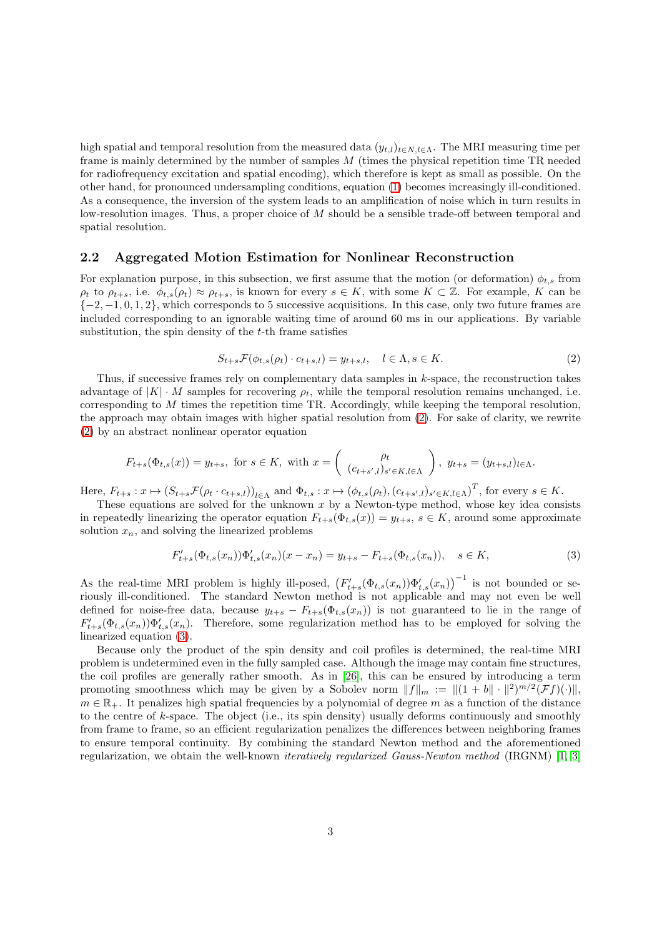high spatial and temporal resolution from the measured data  $(y_{t,l})_{t \in N, l \in \Lambda}$ . The MRI measuring time per frame is mainly determined by the number of samples M (times the physical repetition time TR needed for radiofrequency excitation and spatial encoding), which therefore is kept as small as possible. On the other hand, for pronounced undersampling conditions, equation [\(1\)](#page-1-0) becomes increasingly ill-conditioned. As a consequence, the inversion of the system leads to an amplification of noise which in turn results in low-resolution images. Thus, a proper choice of M should be a sensible trade-off between temporal and spatial resolution.

### 2.2 Aggregated Motion Estimation for Nonlinear Reconstruction

For explanation purpose, in this subsection, we first assume that the motion (or deformation)  $\phi_{t,s}$  from  $\rho_t$  to  $\rho_{t+s}$ , i.e.  $\phi_{t,s}(\rho_t) \approx \rho_{t+s}$ , is known for every  $s \in K$ , with some  $K \subset \mathbb{Z}$ . For example, K can be  $\{-2, -1, 0, 1, 2\}$ , which corresponds to 5 successive acquisitions. In this case, only two future frames are included corresponding to an ignorable waiting time of around 60 ms in our applications. By variable substitution, the spin density of the  $t$ -th frame satisfies

<span id="page-2-0"></span>
$$
S_{t+s}\mathcal{F}(\phi_{t,s}(\rho_t)\cdot c_{t+s,l}) = y_{t+s,l}, \quad l \in \Lambda, s \in K. \tag{2}
$$

Thus, if successive frames rely on complementary data samples in  $k$ -space, the reconstruction takes advantage of  $|K| \cdot M$  samples for recovering  $\rho_t$ , while the temporal resolution remains unchanged, i.e. corresponding to  $M$  times the repetition time TR. Accordingly, while keeping the temporal resolution, the approach may obtain images with higher spatial resolution from [\(2\)](#page-2-0). For sake of clarity, we rewrite [\(2\)](#page-2-0) by an abstract nonlinear operator equation

$$
F_{t+s}(\Phi_{t,s}(x)) = y_{t+s}, \text{ for } s \in K, \text{ with } x = \begin{pmatrix} \rho_t \\ (c_{t+s',l})_{s' \in K, l \in \Lambda} \end{pmatrix}, y_{t+s} = (y_{t+s,l})_{l \in \Lambda}.
$$

Here,  $F_{t+s}: x \mapsto (S_{t+s}\mathcal{F}(\rho_t \cdot c_{t+s,l}))_{l \in \Lambda}$  and  $\Phi_{t,s}: x \mapsto (\phi_{t,s}(\rho_t), (c_{t+s',l})_{s' \in K, l \in \Lambda})^T$ , for every  $s \in K$ .

These equations are solved for the unknown  $x$  by a Newton-type method, whose key idea consists in repeatedly linearizing the operator equation  $F_{t+s}(\Phi_{t,s}(x)) = y_{t+s}, s \in K$ , around some approximate solution  $x_n$ , and solving the linearized problems

<span id="page-2-1"></span>
$$
F'_{t+s}(\Phi_{t,s}(x_n))\Phi'_{t,s}(x_n)(x-x_n) = y_{t+s} - F_{t+s}(\Phi_{t,s}(x_n)), \quad s \in K,
$$
\n(3)

As the real-time MRI problem is highly ill-posed,  $(F'_{t+s}(\Phi_{t,s}(x_n))\Phi'_{t,s}(x_n))^{-1}$  is not bounded or seriously ill-conditioned. The standard Newton method is not applicable and may not even be well defined for noise-free data, because  $y_{t+s} - F_{t+s}(\Phi_{t,s}(x_n))$  is not guaranteed to lie in the range of  $F'_{t+s}(\Phi_{t,s}(x_n))\Phi'_{t,s}(x_n)$ . Therefore, some regularization method has to be employed for solving the linearized equation [\(3\)](#page-2-1).

Because only the product of the spin density and coil profiles is determined, the real-time MRI problem is undetermined even in the fully sampled case. Although the image may contain fine structures, the coil profiles are generally rather smooth. As in [\[26\]](#page-13-3), this can be ensured by introducing a term promoting smoothness which may be given by a Sobolev norm  $||f||_m := ||(1 + b|| \cdot ||^2)^{m/2} (\mathcal{F}f)(\cdot)||$ ,  $m \in \mathbb{R}_+$ . It penalizes high spatial frequencies by a polynomial of degree m as a function of the distance to the centre of k-space. The object (i.e., its spin density) usually deforms continuously and smoothly from frame to frame, so an efficient regularization penalizes the differences between neighboring frames to ensure temporal continuity. By combining the standard Newton method and the aforementioned regularization, we obtain the well-known *iteratively regularized Gauss-Newton method* (IRGNM) [\[1,](#page-11-1) [3\]](#page-11-2)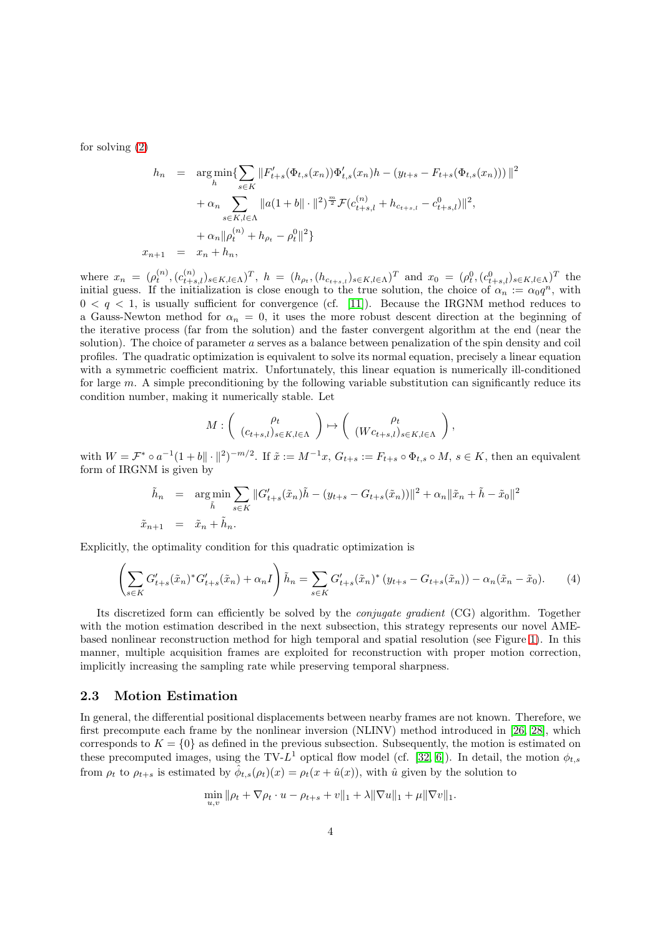for solving [\(2\)](#page-2-0)

$$
h_n = \underset{h}{\arg\min} \{ \sum_{s \in K} ||F'_{t+s}(\Phi_{t,s}(x_n))\Phi'_{t,s}(x_n)h - (y_{t+s} - F_{t+s}(\Phi_{t,s}(x_n)))||^2 + \alpha_n \sum_{s \in K, l \in \Lambda} ||a(1+b|| \cdot ||^2)^{\frac{m}{2}} \mathcal{F}(c_{t+s,l}^{(n)} + h_{c_{t+s,l}} - c_{t+s,l}^0) ||^2,
$$
  

$$
+ \alpha_n ||\rho_t^{(n)} + h_{\rho_t} - \rho_t^0||^2 \}
$$
  

$$
x_{n+1} = x_n + h_n,
$$

where  $x_n = (\rho_t^{(n)}, (c_{t+s,l}^{(n)})_{s \in K, l \in \Lambda})^T$ ,  $h = (h_{\rho_t}, (h_{c_{t+s,l}})_{s \in K, l \in \Lambda})^T$  and  $x_0 = (\rho_t^0, (c_{t+s,l}^0)_{s \in K, l \in \Lambda})^T$  the initial guess. If the initialization is close enough to the true solution, the choice of  $\alpha_n := \alpha_0 q^n$ , with  $0 < q < 1$ , is usually sufficient for convergence (cf. [\[11\]](#page-12-10)). Because the IRGNM method reduces to a Gauss-Newton method for  $\alpha_n = 0$ , it uses the more robust descent direction at the beginning of the iterative process (far from the solution) and the faster convergent algorithm at the end (near the solution). The choice of parameter a serves as a balance between penalization of the spin density and coil profiles. The quadratic optimization is equivalent to solve its normal equation, precisely a linear equation with a symmetric coefficient matrix. Unfortunately, this linear equation is numerically ill-conditioned for large  $m$ . A simple preconditioning by the following variable substitution can significantly reduce its condition number, making it numerically stable. Let

$$
M: \left( \begin{array}{c} \rho_t \\ (c_{t+s,l})_{s \in K, l \in \Lambda} \end{array} \right) \mapsto \left( \begin{array}{c} \rho_t \\ (Wc_{t+s,l})_{s \in K, l \in \Lambda} \end{array} \right),
$$

with  $W = \mathcal{F}^* \circ a^{-1} (1 + b \|\cdot\|^2)^{-m/2}$ . If  $\tilde{x} := M^{-1}x$ ,  $G_{t+s} := F_{t+s} \circ \Phi_{t,s} \circ M$ ,  $s \in K$ , then an equivalent form of IRGNM is given by

$$
\tilde{h}_n = \underset{\tilde{h}}{\arg \min} \sum_{s \in K} ||G'_{t+s}(\tilde{x}_n)\tilde{h} - (y_{t+s} - G_{t+s}(\tilde{x}_n))||^2 + \alpha_n ||\tilde{x}_n + \tilde{h} - \tilde{x}_0||^2
$$
  

$$
\tilde{x}_{n+1} = \tilde{x}_n + \tilde{h}_n.
$$

Explicitly, the optimality condition for this quadratic optimization is

<span id="page-3-0"></span>
$$
\left(\sum_{s\in K} G'_{t+s}(\tilde{x}_n)^* G'_{t+s}(\tilde{x}_n) + \alpha_n I\right) \tilde{h}_n = \sum_{s\in K} G'_{t+s}(\tilde{x}_n)^* \left(y_{t+s} - G_{t+s}(\tilde{x}_n)\right) - \alpha_n(\tilde{x}_n - \tilde{x}_0). \tag{4}
$$

Its discretized form can efficiently be solved by the *conjugate gradient* (CG) algorithm. Together with the motion estimation described in the next subsection, this strategy represents our novel AMEbased nonlinear reconstruction method for high temporal and spatial resolution (see Figure [1\)](#page-4-0). In this manner, multiple acquisition frames are exploited for reconstruction with proper motion correction, implicitly increasing the sampling rate while preserving temporal sharpness.

#### 2.3 Motion Estimation

In general, the differential positional displacements between nearby frames are not known. Therefore, we first precompute each frame by the nonlinear inversion (NLINV) method introduced in [\[26,](#page-13-3) [28\]](#page-13-4), which corresponds to  $K = \{0\}$  as defined in the previous subsection. Subsequently, the motion is estimated on these precomputed images, using the TV-L<sup>1</sup> optical flow model (cf. [\[32,](#page-13-14) [6\]](#page-11-3)). In detail, the motion  $\phi_{t,s}$ from  $\rho_t$  to  $\rho_{t+s}$  is estimated by  $\hat{\phi}_{t,s}(\rho_t)(x) = \rho_t(x + \hat{u}(x))$ , with  $\hat{u}$  given by the solution to

$$
\min_{u,v} \|\rho_t + \nabla \rho_t \cdot u - \rho_{t+s} + v\|_1 + \lambda \|\nabla u\|_1 + \mu \|\nabla v\|_1.
$$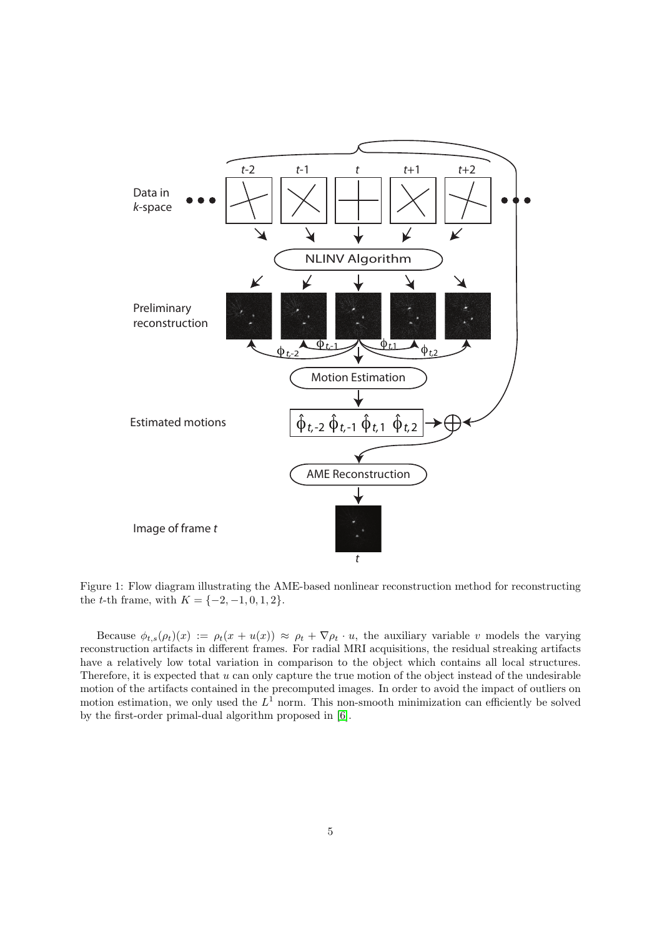

<span id="page-4-0"></span>Figure 1: Flow diagram illustrating the AME-based nonlinear reconstruction method for reconstructing the *t*-th frame, with  $K = \{-2, -1, 0, 1, 2\}.$ 

Because  $\phi_{t,s}(\rho_t)(x) := \rho_t(x + u(x)) \approx \rho_t + \nabla \rho_t \cdot u$ , the auxiliary variable v models the varying reconstruction artifacts in different frames. For radial MRI acquisitions, the residual streaking artifacts have a relatively low total variation in comparison to the object which contains all local structures. Therefore, it is expected that u can only capture the true motion of the object instead of the undesirable motion of the artifacts contained in the precomputed images. In order to avoid the impact of outliers on motion estimation, we only used the  $L^1$  norm. This non-smooth minimization can efficiently be solved by the first-order primal-dual algorithm proposed in [\[6\]](#page-11-3).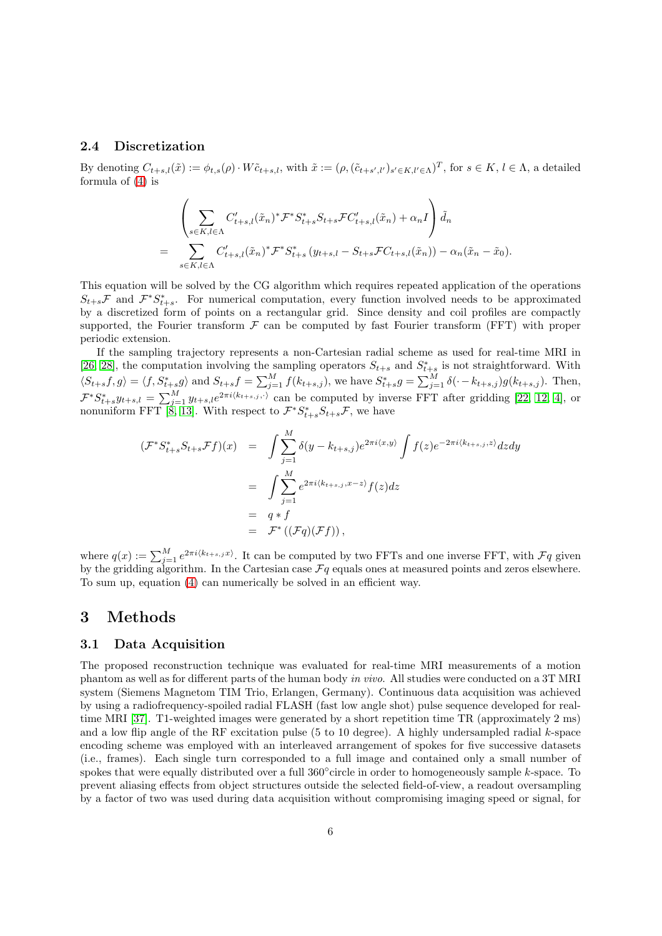#### 2.4 Discretization

By denoting  $C_{t+s,l}(\tilde{x}) := \phi_{t,s}(\rho) \cdot W \tilde{c}_{t+s,l}$ , with  $\tilde{x} := (\rho, (\tilde{c}_{t+s',l'})_{s' \in K, l' \in \Lambda})^T$ , for  $s \in K, l \in \Lambda$ , a detailed formula of [\(4\)](#page-3-0) is

$$
\left(\sum_{s \in K, l \in \Lambda} C'_{t+s,l}(\tilde{x}_n)^* \mathcal{F}^* S^*_{t+s} S_{t+s} \mathcal{F} C'_{t+s,l}(\tilde{x}_n) + \alpha_n I\right) \tilde{d}_n
$$
\n
$$
= \sum_{s \in K, l \in \Lambda} C'_{t+s,l}(\tilde{x}_n)^* \mathcal{F}^* S^*_{t+s} (y_{t+s,l} - S_{t+s} \mathcal{F} C_{t+s,l}(\tilde{x}_n)) - \alpha_n (\tilde{x}_n - \tilde{x}_0).
$$

This equation will be solved by the CG algorithm which requires repeated application of the operations  $S_{t+s}\mathcal{F}$  and  $\mathcal{F}^*S_{t+s}^*$ . For numerical computation, every function involved needs to be approximated by a discretized form of points on a rectangular grid. Since density and coil profiles are compactly supported, the Fourier transform  $F$  can be computed by fast Fourier transform (FFT) with proper periodic extension.

If the sampling trajectory represents a non-Cartesian radial scheme as used for real-time MRI in [\[26,](#page-13-3) [28\]](#page-13-4), the computation involving the sampling operators  $S_{t+s}$  and  $S_{t+s}^*$  is not straightforward. With  $\langle S_{t+s}f, g \rangle = \langle f, S_{t+s}^*g \rangle$  and  $S_{t+s}f = \sum_{j=1}^M f(k_{t+s,j}),$  we have  $S_{t+s}^*g = \sum_{j=1}^M \delta(\cdot - k_{t+s,j})g(k_{t+s,j}).$  Then,  $\mathcal{F}^*S_{t+s}^*y_{t+s,l} = \sum_{j=1}^M y_{t+s,l}e^{2\pi i \langle k_{t+s,j}, \cdot \rangle}$  can be computed by inverse FFT after gridding [\[22,](#page-12-11) [12,](#page-12-12) [4\]](#page-11-4), or nonuniform FFT [\[8,](#page-12-13) [13\]](#page-12-14). With respect to  $\mathcal{F}^* S^*_{t+s} S_{t+s} \mathcal{F}$ , we have

$$
(\mathcal{F}^* S_{t+s}^* S_{t+s} \mathcal{F}f)(x) = \int \sum_{j=1}^M \delta(y - k_{t+s,j}) e^{2\pi i \langle x, y \rangle} \int f(z) e^{-2\pi i \langle k_{t+s,j}, z \rangle} dz dy
$$
  

$$
= \int \sum_{j=1}^M e^{2\pi i \langle k_{t+s,j}, x-z \rangle} f(z) dz
$$
  

$$
= q * f
$$
  

$$
= \mathcal{F}^* ((\mathcal{F}q)(\mathcal{F}f)),
$$

where  $q(x) := \sum_{j=1}^{M} e^{2\pi i (k_{t+s,j}x)}$ . It can be computed by two FFTs and one inverse FFT, with  $\mathcal{F}q$  given by the gridding algorithm. In the Cartesian case  $\mathcal{F}q$  equals ones at measured points and zeros elsewhere. To sum up, equation [\(4\)](#page-3-0) can numerically be solved in an efficient way.

## 3 Methods

### 3.1 Data Acquisition

The proposed reconstruction technique was evaluated for real-time MRI measurements of a motion phantom as well as for different parts of the human body *in vivo*. All studies were conducted on a 3T MRI system (Siemens Magnetom TIM Trio, Erlangen, Germany). Continuous data acquisition was achieved by using a radiofrequency-spoiled radial FLASH (fast low angle shot) pulse sequence developed for realtime MRI [\[37\]](#page-13-15). T1-weighted images were generated by a short repetition time TR (approximately 2 ms) and a low flip angle of the RF excitation pulse  $(5 \text{ to } 10 \text{ degree})$ . A highly undersampled radial k-space encoding scheme was employed with an interleaved arrangement of spokes for five successive datasets (i.e., frames). Each single turn corresponded to a full image and contained only a small number of spokes that were equally distributed over a full 360° circle in order to homogeneously sample k-space. To prevent aliasing effects from object structures outside the selected field-of-view, a readout oversampling by a factor of two was used during data acquisition without compromising imaging speed or signal, for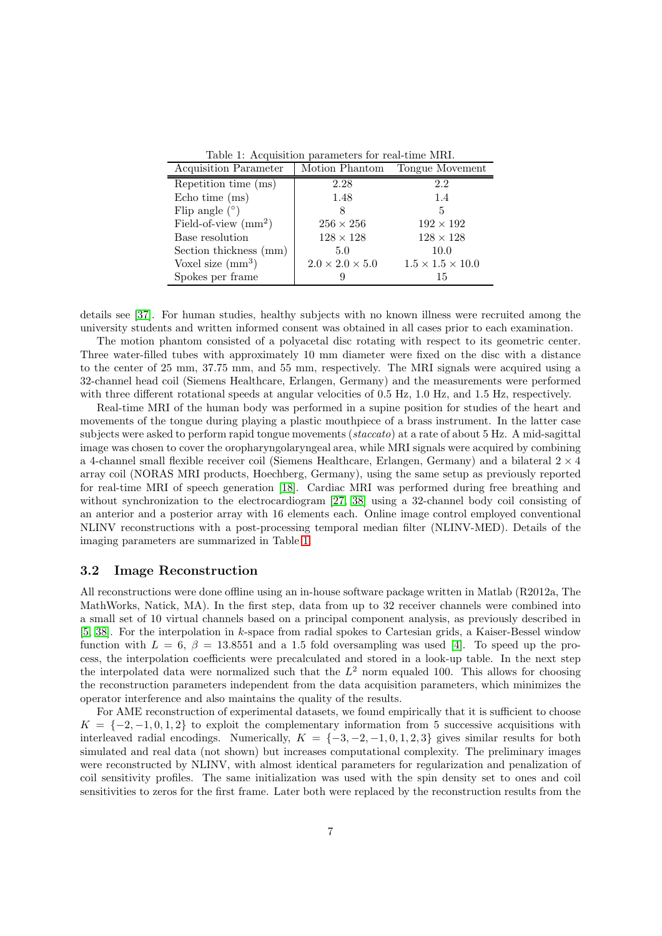<span id="page-6-0"></span>Table 1: Acquisition parameters for real-time MRI.

| Acquisition Parameter                 | Motion Phantom              | Tongue Movement              |
|---------------------------------------|-----------------------------|------------------------------|
| Repetition time (ms)                  | 2.28                        | 2.2                          |
| Echo time $(ms)$                      | 1.48                        | 1.4                          |
| Flip angle $(°)$                      |                             | 5                            |
| Field-of-view $\text{ (mm}^2\text{)}$ | $256 \times 256$            | $192 \times 192$             |
| Base resolution                       | $128 \times 128$            | $128 \times 128$             |
| Section thickness (mm)                | 5.0                         | 10.0                         |
| Voxel size $\text{(mm}^3)$            | $2.0 \times 2.0 \times 5.0$ | $1.5 \times 1.5 \times 10.0$ |
| Spokes per frame                      |                             | 15                           |

details see [\[37\]](#page-13-15). For human studies, healthy subjects with no known illness were recruited among the university students and written informed consent was obtained in all cases prior to each examination.

The motion phantom consisted of a polyacetal disc rotating with respect to its geometric center. Three water-filled tubes with approximately 10 mm diameter were fixed on the disc with a distance to the center of 25 mm, 37.75 mm, and 55 mm, respectively. The MRI signals were acquired using a 32-channel head coil (Siemens Healthcare, Erlangen, Germany) and the measurements were performed with three different rotational speeds at angular velocities of 0.5 Hz, 1.0 Hz, and 1.5 Hz, respectively.

Real-time MRI of the human body was performed in a supine position for studies of the heart and movements of the tongue during playing a plastic mouthpiece of a brass instrument. In the latter case subjects were asked to perform rapid tongue movements (*staccato*) at a rate of about 5 Hz. A mid-sagittal image was chosen to cover the oropharyngolaryngeal area, while MRI signals were acquired by combining a 4-channel small flexible receiver coil (Siemens Healthcare, Erlangen, Germany) and a bilateral  $2 \times 4$ array coil (NORAS MRI products, Hoechberg, Germany), using the same setup as previously reported for real-time MRI of speech generation [\[18\]](#page-12-15). Cardiac MRI was performed during free breathing and without synchronization to the electrocardiogram [\[27,](#page-13-5) [38\]](#page-13-6) using a 32-channel body coil consisting of an anterior and a posterior array with 16 elements each. Online image control employed conventional NLINV reconstructions with a post-processing temporal median filter (NLINV-MED). Details of the imaging parameters are summarized in Table [1.](#page-6-0)

### 3.2 Image Reconstruction

All reconstructions were done offline using an in-house software package written in Matlab (R2012a, The MathWorks, Natick, MA). In the first step, data from up to 32 receiver channels were combined into a small set of 10 virtual channels based on a principal component analysis, as previously described in [\[5,](#page-11-5) [38\]](#page-13-6). For the interpolation in k-space from radial spokes to Cartesian grids, a Kaiser-Bessel window function with  $L = 6, \beta = 13.8551$  and a 1.5 fold oversampling was used [\[4\]](#page-11-4). To speed up the process, the interpolation coefficients were precalculated and stored in a look-up table. In the next step the interpolated data were normalized such that the  $L^2$  norm equaled 100. This allows for choosing the reconstruction parameters independent from the data acquisition parameters, which minimizes the operator interference and also maintains the quality of the results.

For AME reconstruction of experimental datasets, we found empirically that it is sufficient to choose  $K = \{-2, -1, 0, 1, 2\}$  to exploit the complementary information from 5 successive acquisitions with interleaved radial encodings. Numerically,  $K = \{-3, -2, -1, 0, 1, 2, 3\}$  gives similar results for both simulated and real data (not shown) but increases computational complexity. The preliminary images were reconstructed by NLINV, with almost identical parameters for regularization and penalization of coil sensitivity profiles. The same initialization was used with the spin density set to ones and coil sensitivities to zeros for the first frame. Later both were replaced by the reconstruction results from the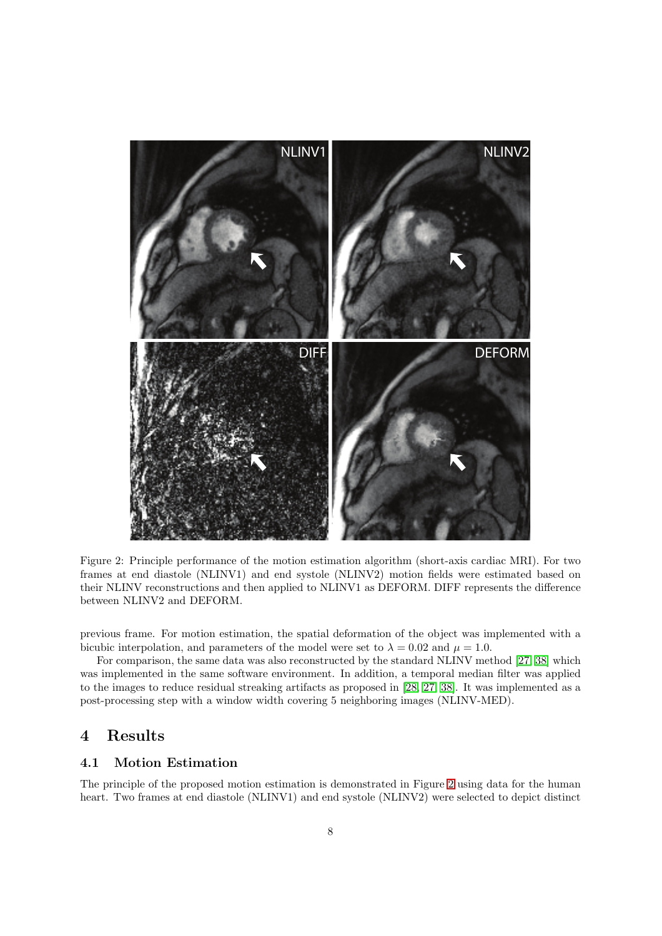

<span id="page-7-0"></span>Figure 2: Principle performance of the motion estimation algorithm (short-axis cardiac MRI). For two frames at end diastole (NLINV1) and end systole (NLINV2) motion fields were estimated based on their NLINV reconstructions and then applied to NLINV1 as DEFORM. DIFF represents the difference between NLINV2 and DEFORM.

previous frame. For motion estimation, the spatial deformation of the object was implemented with a bicubic interpolation, and parameters of the model were set to  $\lambda = 0.02$  and  $\mu = 1.0$ .

For comparison, the same data was also reconstructed by the standard NLINV method [\[27,](#page-13-5) [38\]](#page-13-6) which was implemented in the same software environment. In addition, a temporal median filter was applied to the images to reduce residual streaking artifacts as proposed in [\[28,](#page-13-4) [27,](#page-13-5) [38\]](#page-13-6). It was implemented as a post-processing step with a window width covering 5 neighboring images (NLINV-MED).

## 4 Results

### 4.1 Motion Estimation

The principle of the proposed motion estimation is demonstrated in Figure [2](#page-7-0) using data for the human heart. Two frames at end diastole (NLINV1) and end systole (NLINV2) were selected to depict distinct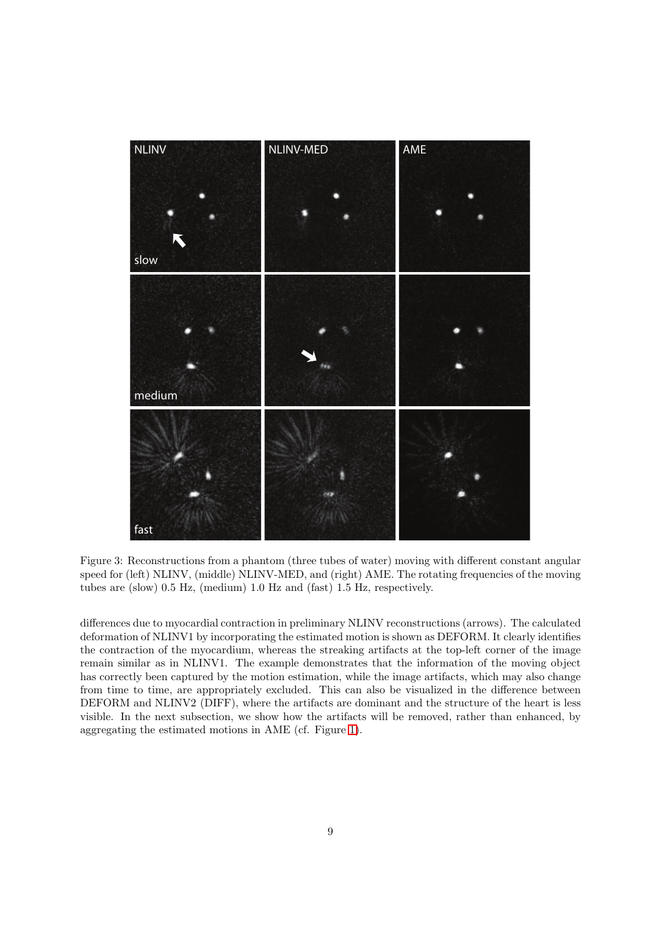

<span id="page-8-0"></span>Figure 3: Reconstructions from a phantom (three tubes of water) moving with different constant angular speed for (left) NLINV, (middle) NLINV-MED, and (right) AME. The rotating frequencies of the moving tubes are (slow) 0.5 Hz, (medium) 1.0 Hz and (fast) 1.5 Hz, respectively.

differences due to myocardial contraction in preliminary NLINV reconstructions (arrows). The calculated deformation of NLINV1 by incorporating the estimated motion is shown as DEFORM. It clearly identifies the contraction of the myocardium, whereas the streaking artifacts at the top-left corner of the image remain similar as in NLINV1. The example demonstrates that the information of the moving object has correctly been captured by the motion estimation, while the image artifacts, which may also change from time to time, are appropriately excluded. This can also be visualized in the difference between DEFORM and NLINV2 (DIFF), where the artifacts are dominant and the structure of the heart is less visible. In the next subsection, we show how the artifacts will be removed, rather than enhanced, by aggregating the estimated motions in AME (cf. Figure [1\)](#page-4-0).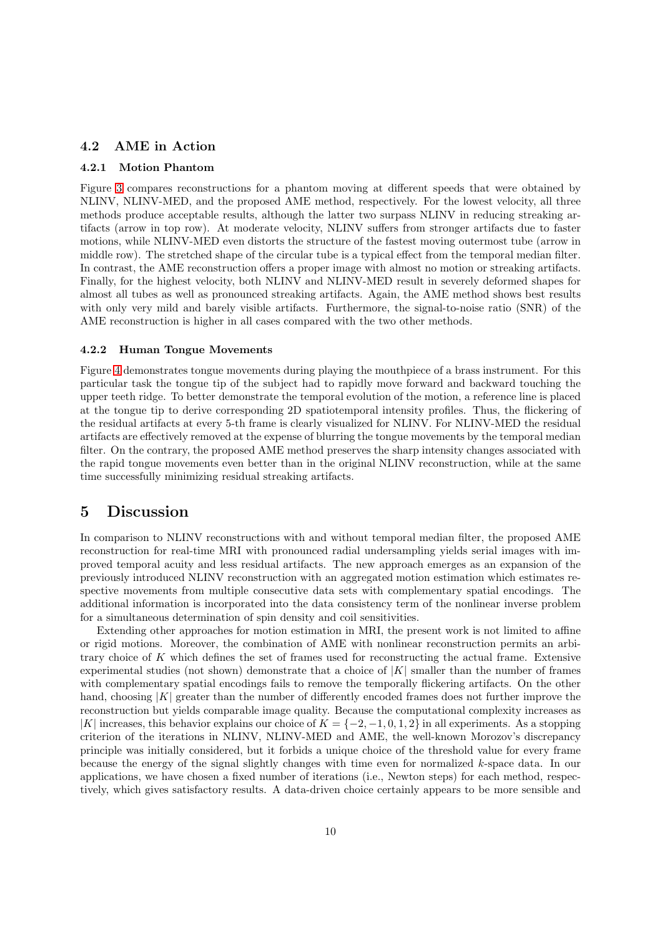#### 4.2 AME in Action

#### 4.2.1 Motion Phantom

Figure [3](#page-8-0) compares reconstructions for a phantom moving at different speeds that were obtained by NLINV, NLINV-MED, and the proposed AME method, respectively. For the lowest velocity, all three methods produce acceptable results, although the latter two surpass NLINV in reducing streaking artifacts (arrow in top row). At moderate velocity, NLINV suffers from stronger artifacts due to faster motions, while NLINV-MED even distorts the structure of the fastest moving outermost tube (arrow in middle row). The stretched shape of the circular tube is a typical effect from the temporal median filter. In contrast, the AME reconstruction offers a proper image with almost no motion or streaking artifacts. Finally, for the highest velocity, both NLINV and NLINV-MED result in severely deformed shapes for almost all tubes as well as pronounced streaking artifacts. Again, the AME method shows best results with only very mild and barely visible artifacts. Furthermore, the signal-to-noise ratio (SNR) of the AME reconstruction is higher in all cases compared with the two other methods.

#### 4.2.2 Human Tongue Movements

Figure [4](#page-10-0) demonstrates tongue movements during playing the mouthpiece of a brass instrument. For this particular task the tongue tip of the subject had to rapidly move forward and backward touching the upper teeth ridge. To better demonstrate the temporal evolution of the motion, a reference line is placed at the tongue tip to derive corresponding 2D spatiotemporal intensity profiles. Thus, the flickering of the residual artifacts at every 5-th frame is clearly visualized for NLINV. For NLINV-MED the residual artifacts are effectively removed at the expense of blurring the tongue movements by the temporal median filter. On the contrary, the proposed AME method preserves the sharp intensity changes associated with the rapid tongue movements even better than in the original NLINV reconstruction, while at the same time successfully minimizing residual streaking artifacts.

### 5 Discussion

In comparison to NLINV reconstructions with and without temporal median filter, the proposed AME reconstruction for real-time MRI with pronounced radial undersampling yields serial images with improved temporal acuity and less residual artifacts. The new approach emerges as an expansion of the previously introduced NLINV reconstruction with an aggregated motion estimation which estimates respective movements from multiple consecutive data sets with complementary spatial encodings. The additional information is incorporated into the data consistency term of the nonlinear inverse problem for a simultaneous determination of spin density and coil sensitivities.

Extending other approaches for motion estimation in MRI, the present work is not limited to affine or rigid motions. Moreover, the combination of AME with nonlinear reconstruction permits an arbitrary choice of K which defines the set of frames used for reconstructing the actual frame. Extensive experimental studies (not shown) demonstrate that a choice of  $|K|$  smaller than the number of frames with complementary spatial encodings fails to remove the temporally flickering artifacts. On the other hand, choosing  $|K|$  greater than the number of differently encoded frames does not further improve the reconstruction but yields comparable image quality. Because the computational complexity increases as  $|K|$  increases, this behavior explains our choice of  $K = \{-2, -1, 0, 1, 2\}$  in all experiments. As a stopping criterion of the iterations in NLINV, NLINV-MED and AME, the well-known Morozov's discrepancy principle was initially considered, but it forbids a unique choice of the threshold value for every frame because the energy of the signal slightly changes with time even for normalized k-space data. In our applications, we have chosen a fixed number of iterations (i.e., Newton steps) for each method, respectively, which gives satisfactory results. A data-driven choice certainly appears to be more sensible and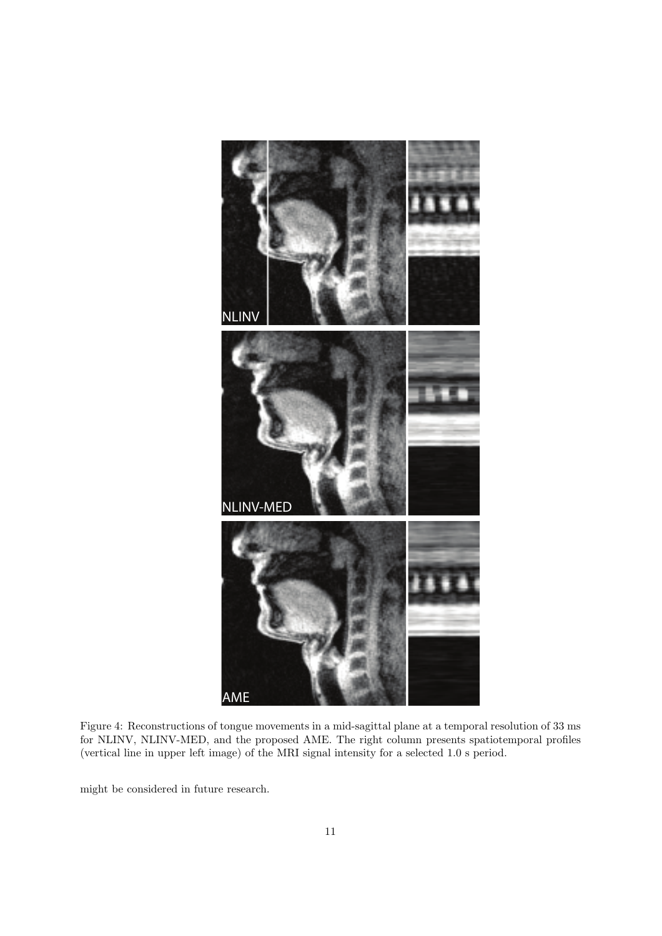

<span id="page-10-0"></span>Figure 4: Reconstructions of tongue movements in a mid-sagittal plane at a temporal resolution of 33 ms for NLINV, NLINV-MED, and the proposed AME. The right column presents spatiotemporal profiles (vertical line in upper left image) of the MRI signal intensity for a selected 1.0 s period.

might be considered in future research.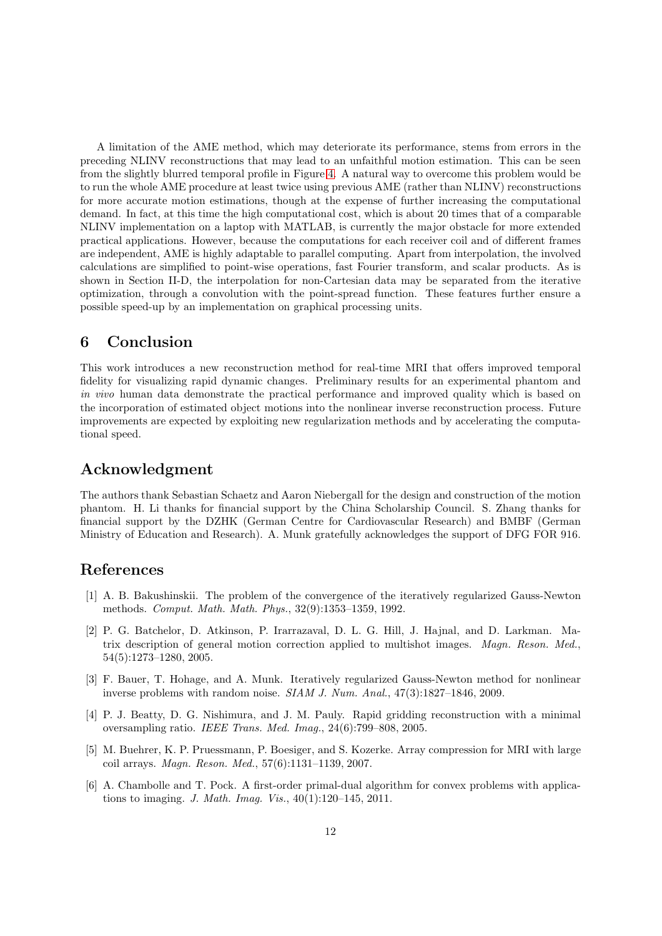A limitation of the AME method, which may deteriorate its performance, stems from errors in the preceding NLINV reconstructions that may lead to an unfaithful motion estimation. This can be seen from the slightly blurred temporal profile in Figure [4.](#page-10-0) A natural way to overcome this problem would be to run the whole AME procedure at least twice using previous AME (rather than NLINV) reconstructions for more accurate motion estimations, though at the expense of further increasing the computational demand. In fact, at this time the high computational cost, which is about 20 times that of a comparable NLINV implementation on a laptop with MATLAB, is currently the major obstacle for more extended practical applications. However, because the computations for each receiver coil and of different frames are independent, AME is highly adaptable to parallel computing. Apart from interpolation, the involved calculations are simplified to point-wise operations, fast Fourier transform, and scalar products. As is shown in Section II-D, the interpolation for non-Cartesian data may be separated from the iterative optimization, through a convolution with the point-spread function. These features further ensure a possible speed-up by an implementation on graphical processing units.

## 6 Conclusion

This work introduces a new reconstruction method for real-time MRI that offers improved temporal fidelity for visualizing rapid dynamic changes. Preliminary results for an experimental phantom and *in vivo* human data demonstrate the practical performance and improved quality which is based on the incorporation of estimated object motions into the nonlinear inverse reconstruction process. Future improvements are expected by exploiting new regularization methods and by accelerating the computational speed.

### Acknowledgment

The authors thank Sebastian Schaetz and Aaron Niebergall for the design and construction of the motion phantom. H. Li thanks for financial support by the China Scholarship Council. S. Zhang thanks for financial support by the DZHK (German Centre for Cardiovascular Research) and BMBF (German Ministry of Education and Research). A. Munk gratefully acknowledges the support of DFG FOR 916.

### <span id="page-11-1"></span>References

- [1] A. B. Bakushinskii. The problem of the convergence of the iteratively regularized Gauss-Newton methods. *Comput. Math. Math. Phys.*, 32(9):1353–1359, 1992.
- <span id="page-11-0"></span>[2] P. G. Batchelor, D. Atkinson, P. Irarrazaval, D. L. G. Hill, J. Hajnal, and D. Larkman. Matrix description of general motion correction applied to multishot images. *Magn. Reson. Med.*, 54(5):1273–1280, 2005.
- <span id="page-11-2"></span>[3] F. Bauer, T. Hohage, and A. Munk. Iteratively regularized Gauss-Newton method for nonlinear inverse problems with random noise. *SIAM J. Num. Anal.*, 47(3):1827–1846, 2009.
- <span id="page-11-4"></span>[4] P. J. Beatty, D. G. Nishimura, and J. M. Pauly. Rapid gridding reconstruction with a minimal oversampling ratio. *IEEE Trans. Med. Imag.*, 24(6):799–808, 2005.
- <span id="page-11-5"></span>[5] M. Buehrer, K. P. Pruessmann, P. Boesiger, and S. Kozerke. Array compression for MRI with large coil arrays. *Magn. Reson. Med.*, 57(6):1131–1139, 2007.
- <span id="page-11-3"></span>[6] A. Chambolle and T. Pock. A first-order primal-dual algorithm for convex problems with applications to imaging. *J. Math. Imag. Vis.*, 40(1):120–145, 2011.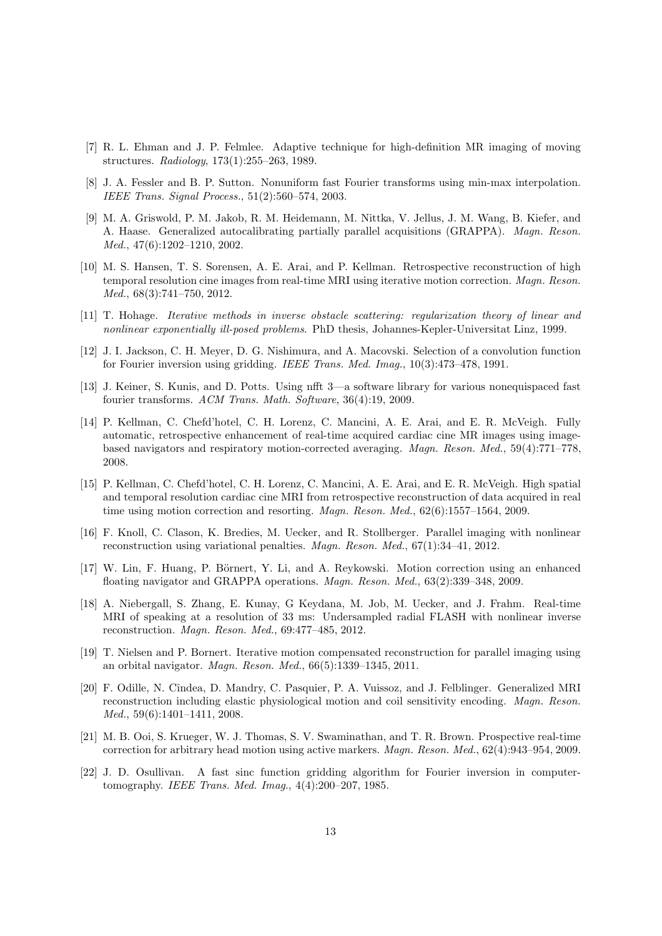- <span id="page-12-2"></span>[7] R. L. Ehman and J. P. Felmlee. Adaptive technique for high-definition MR imaging of moving structures. *Radiology*, 173(1):255–263, 1989.
- <span id="page-12-13"></span>[8] J. A. Fessler and B. P. Sutton. Nonuniform fast Fourier transforms using min-max interpolation. *IEEE Trans. Signal Process.*, 51(2):560–574, 2003.
- <span id="page-12-0"></span>[9] M. A. Griswold, P. M. Jakob, R. M. Heidemann, M. Nittka, V. Jellus, J. M. Wang, B. Kiefer, and A. Haase. Generalized autocalibrating partially parallel acquisitions (GRAPPA). *Magn. Reson. Med.*, 47(6):1202–1210, 2002.
- <span id="page-12-8"></span>[10] M. S. Hansen, T. S. Sorensen, A. E. Arai, and P. Kellman. Retrospective reconstruction of high temporal resolution cine images from real-time MRI using iterative motion correction. *Magn. Reson. Med.*, 68(3):741–750, 2012.
- <span id="page-12-12"></span><span id="page-12-10"></span>[11] T. Hohage. *Iterative methods in inverse obstacle scattering: regularization theory of linear and nonlinear exponentially ill-posed problems*. PhD thesis, Johannes-Kepler-Universitat Linz, 1999.
- [12] J. I. Jackson, C. H. Meyer, D. G. Nishimura, and A. Macovski. Selection of a convolution function for Fourier inversion using gridding. *IEEE Trans. Med. Imag.*, 10(3):473–478, 1991.
- <span id="page-12-14"></span>[13] J. Keiner, S. Kunis, and D. Potts. Using nfft 3—a software library for various nonequispaced fast fourier transforms. *ACM Trans. Math. Software*, 36(4):19, 2009.
- <span id="page-12-6"></span>[14] P. Kellman, C. Chefd'hotel, C. H. Lorenz, C. Mancini, A. E. Arai, and E. R. McVeigh. Fully automatic, retrospective enhancement of real-time acquired cardiac cine MR images using imagebased navigators and respiratory motion-corrected averaging. *Magn. Reson. Med.*, 59(4):771–778, 2008.
- <span id="page-12-7"></span>[15] P. Kellman, C. Chefd'hotel, C. H. Lorenz, C. Mancini, A. E. Arai, and E. R. McVeigh. High spatial and temporal resolution cardiac cine MRI from retrospective reconstruction of data acquired in real time using motion correction and resorting. *Magn. Reson. Med.*, 62(6):1557–1564, 2009.
- <span id="page-12-1"></span>[16] F. Knoll, C. Clason, K. Bredies, M. Uecker, and R. Stollberger. Parallel imaging with nonlinear reconstruction using variational penalties. *Magn. Reson. Med.*, 67(1):34–41, 2012.
- <span id="page-12-4"></span>[17] W. Lin, F. Huang, P. Börnert, Y. Li, and A. Reykowski. Motion correction using an enhanced floating navigator and GRAPPA operations. *Magn. Reson. Med.*, 63(2):339–348, 2009.
- <span id="page-12-15"></span>[18] A. Niebergall, S. Zhang, E. Kunay, G Keydana, M. Job, M. Uecker, and J. Frahm. Real-time MRI of speaking at a resolution of 33 ms: Undersampled radial FLASH with nonlinear inverse reconstruction. *Magn. Reson. Med.*, 69:477–485, 2012.
- <span id="page-12-5"></span>[19] T. Nielsen and P. Bornert. Iterative motion compensated reconstruction for parallel imaging using an orbital navigator. *Magn. Reson. Med.*, 66(5):1339–1345, 2011.
- <span id="page-12-9"></span>[20] F. Odille, N. Cˆındea, D. Mandry, C. Pasquier, P. A. Vuissoz, and J. Felblinger. Generalized MRI reconstruction including elastic physiological motion and coil sensitivity encoding. *Magn. Reson. Med.*, 59(6):1401–1411, 2008.
- <span id="page-12-3"></span>[21] M. B. Ooi, S. Krueger, W. J. Thomas, S. V. Swaminathan, and T. R. Brown. Prospective real-time correction for arbitrary head motion using active markers. *Magn. Reson. Med.*, 62(4):943–954, 2009.
- <span id="page-12-11"></span>[22] J. D. Osullivan. A fast sinc function gridding algorithm for Fourier inversion in computertomography. *IEEE Trans. Med. Imag.*, 4(4):200–207, 1985.